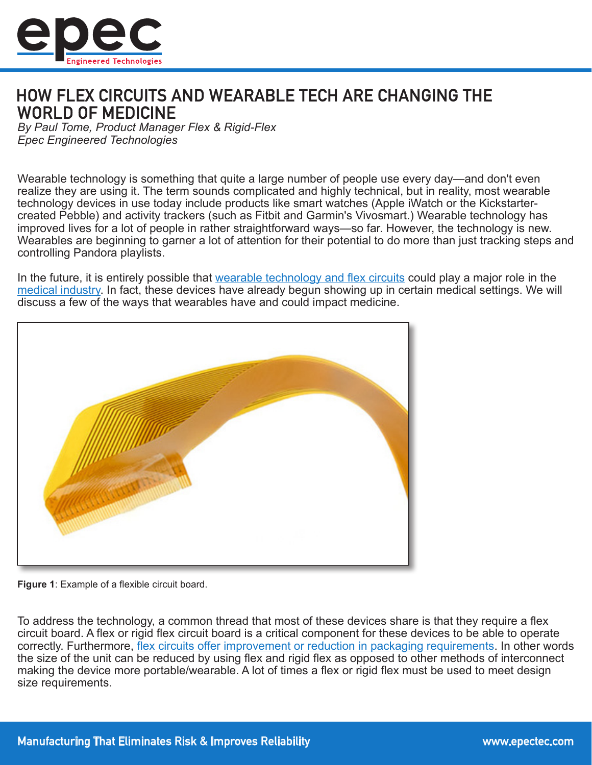

# **HOW FLEX CIRCUITS AND WEARABLE TECH ARE CHANGING THE WORLD OF MEDICINE**

*By Paul Tome, Product Manager Flex & Rigid-Flex Epec Engineered Technologies*

Wearable technology is something that quite a large number of people use every day—and don't even realize they are using it. The term sounds complicated and highly technical, but in reality, most wearable technology devices in use today include products like smart watches (Apple iWatch or the Kickstartercreated Pebble) and activity trackers (such as Fitbit and Garmin's Vivosmart.) Wearable technology has improved lives for a lot of people in rather straightforward ways—so far. However, the technology is new. Wearables are beginning to garner a lot of attention for their potential to do more than just tracking steps and controlling Pandora playlists.

In the future, it is entirely possible that [wearable technology and flex circuits](http://www.epectec.com/flex/) could play a major role in the [medical industry.](http://www.epectec.com/about/industry/medical-electronics.html) In fact, these devices have already begun showing up in certain medical settings. We will discuss a few of the ways that wearables have and could impact medicine.



**Figure 1**: Example of a flexible circuit board.

To address the technology, a common thread that most of these devices share is that they require a flex circuit board. A flex or rigid flex circuit board is a critical component for these devices to be able to operate correctly. Furthermore, [flex circuits offer improvement or reduction in packaging requirements](http://blog.epectec.com/why-you-should-use-flex-circuits). In other words the size of the unit can be reduced by using flex and rigid flex as opposed to other methods of interconnect making the device more portable/wearable. A lot of times a flex or rigid flex must be used to meet design size requirements.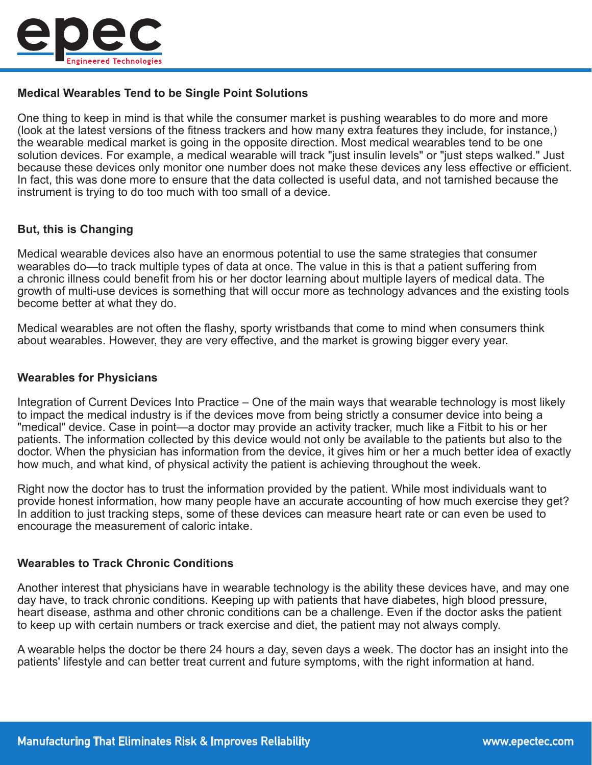

# **Medical Wearables Tend to be Single Point Solutions**

One thing to keep in mind is that while the consumer market is pushing wearables to do more and more (look at the latest versions of the fitness trackers and how many extra features they include, for instance,) the wearable medical market is going in the opposite direction. Most medical wearables tend to be one solution devices. For example, a medical wearable will track "just insulin levels" or "just steps walked." Just because these devices only monitor one number does not make these devices any less effective or efficient. In fact, this was done more to ensure that the data collected is useful data, and not tarnished because the instrument is trying to do too much with too small of a device.

### **But, this is Changing**

Medical wearable devices also have an enormous potential to use the same strategies that consumer wearables do—to track multiple types of data at once. The value in this is that a patient suffering from a chronic illness could benefit from his or her doctor learning about multiple layers of medical data. The growth of multi-use devices is something that will occur more as technology advances and the existing tools become better at what they do.

Medical wearables are not often the flashy, sporty wristbands that come to mind when consumers think about wearables. However, they are very effective, and the market is growing bigger every year.

#### **Wearables for Physicians**

Integration of Current Devices Into Practice – One of the main ways that wearable technology is most likely to impact the medical industry is if the devices move from being strictly a consumer device into being a "medical" device. Case in point—a doctor may provide an activity tracker, much like a Fitbit to his or her patients. The information collected by this device would not only be available to the patients but also to the doctor. When the physician has information from the device, it gives him or her a much better idea of exactly how much, and what kind, of physical activity the patient is achieving throughout the week.

Right now the doctor has to trust the information provided by the patient. While most individuals want to provide honest information, how many people have an accurate accounting of how much exercise they get? In addition to just tracking steps, some of these devices can measure heart rate or can even be used to encourage the measurement of caloric intake.

#### **Wearables to Track Chronic Conditions**

Another interest that physicians have in wearable technology is the ability these devices have, and may one day have, to track chronic conditions. Keeping up with patients that have diabetes, high blood pressure, heart disease, asthma and other chronic conditions can be a challenge. Even if the doctor asks the patient to keep up with certain numbers or track exercise and diet, the patient may not always comply.

A wearable helps the doctor be there 24 hours a day, seven days a week. The doctor has an insight into the patients' lifestyle and can better treat current and future symptoms, with the right information at hand.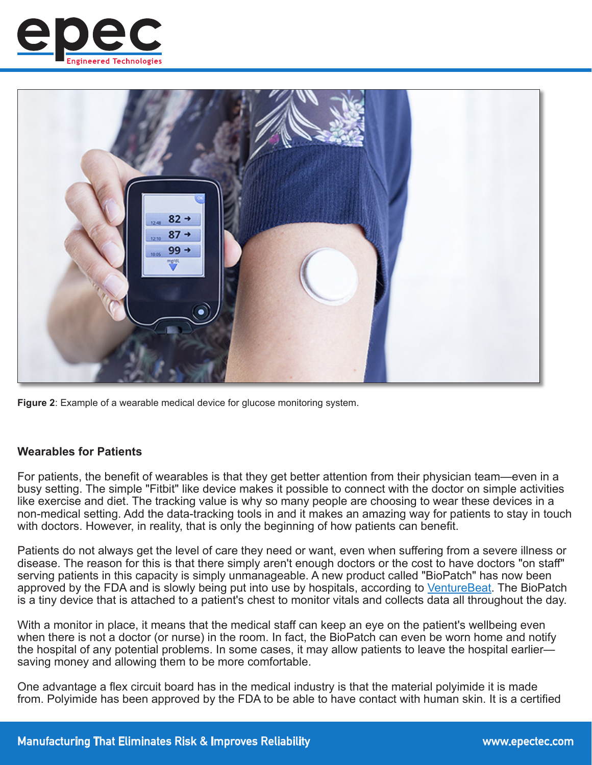



**Figure 2**: Example of a wearable medical device for glucose monitoring system.

#### **Wearables for Patients**

For patients, the benefit of wearables is that they get better attention from their physician team—even in a busy setting. The simple "Fitbit" like device makes it possible to connect with the doctor on simple activities like exercise and diet. The tracking value is why so many people are choosing to wear these devices in a non-medical setting. Add the data-tracking tools in and it makes an amazing way for patients to stay in touch with doctors. However, in reality, that is only the beginning of how patients can benefit.

Patients do not always get the level of care they need or want, even when suffering from a severe illness or disease. The reason for this is that there simply aren't enough doctors or the cost to have doctors "on staff" serving patients in this capacity is simply unmanageable. A new product called "BioPatch" has now been approved by the FDA and is slowly being put into use by hospitals, according to [VentureBeat](https://venturebeat.com/2014/10/20/how-a-small-wearable-device-is-improving-care-and-saving-money-for-hospitals/). The BioPatch is a tiny device that is attached to a patient's chest to monitor vitals and collects data all throughout the day.

With a monitor in place, it means that the medical staff can keep an eye on the patient's wellbeing even when there is not a doctor (or nurse) in the room. In fact, the BioPatch can even be worn home and notify the hospital of any potential problems. In some cases, it may allow patients to leave the hospital earlier saving money and allowing them to be more comfortable.

One advantage a flex circuit board has in the medical industry is that the material polyimide it is made from. Polyimide has been approved by the FDA to be able to have contact with human skin. It is a certified